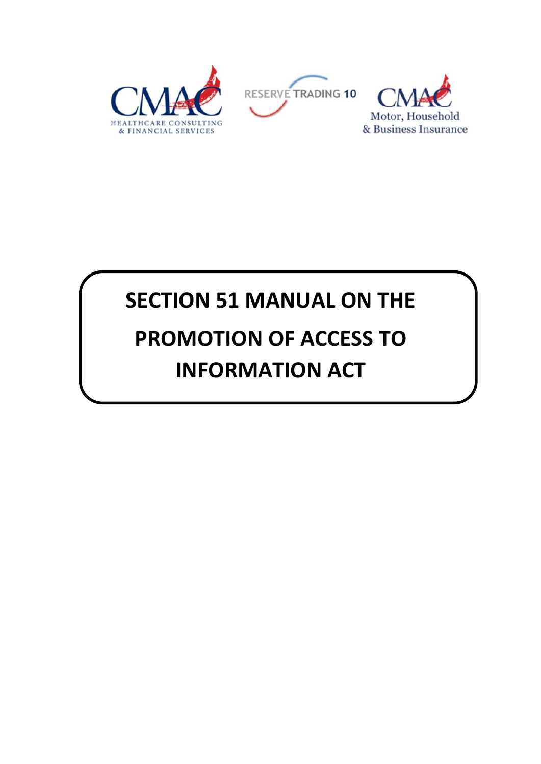

# **SECTION 51 MANUAL ON THE PROMOTION OF ACCESS TO INFORMATION ACT**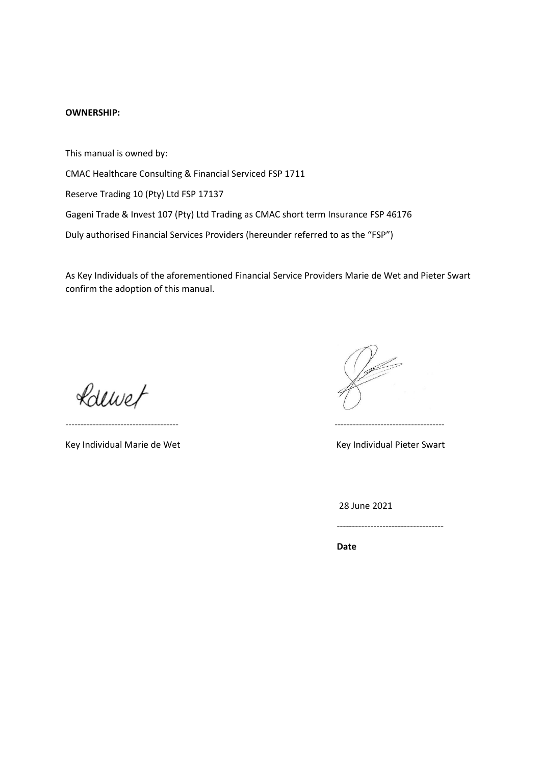#### **OWNERSHIP:**

This manual is owned by:

CMAC Healthcare Consulting & Financial Serviced FSP 1711

Reserve Trading 10 (Pty) Ltd FSP 17137

Gageni Trade & Invest 107 (Pty) Ltd Trading as CMAC short term Insurance FSP 46176

Duly authorised Financial Services Providers (hereunder referred to as the "FSP")

As Key Individuals of the aforementioned Financial Service Providers Marie de Wet and Pieter Swart confirm the adoption of this manual.

Rollwet

Key Individual Marie de Wet Key Individual Pieter Swart

------------------------------------- ------------------------------------

28 June 2021

-----------------------------------

*Date*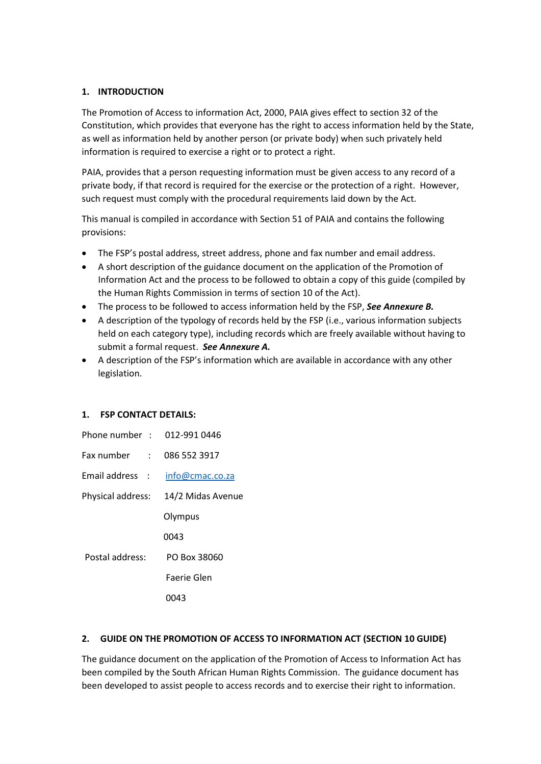# **1. INTRODUCTION**

The Promotion of Access to information Act, 2000, PAIA gives effect to section 32 of the Constitution, which provides that everyone has the right to access information held by the State, as well as information held by another person (or private body) when such privately held information is required to exercise a right or to protect a right.

PAIA, provides that a person requesting information must be given access to any record of a private body, if that record is required for the exercise or the protection of a right. However, such request must comply with the procedural requirements laid down by the Act.

This manual is compiled in accordance with Section 51 of PAIA and contains the following provisions:

- The FSP's postal address, street address, phone and fax number and email address.
- A short description of the guidance document on the application of the Promotion of Information Act and the process to be followed to obtain a copy of this guide (compiled by the Human Rights Commission in terms of section 10 of the Act).
- The process to be followed to access information held by the FSP, *See Annexure B.*
- A description of the typology of records held by the FSP (i.e., various information subjects held on each category type), including records which are freely available without having to submit a formal request. *See Annexure A.*
- A description of the FSP's information which are available in accordance with any other legislation.

## **1. FSP CONTACT DETAILS:**

| Phone number : 012-991 0446 |                   |
|-----------------------------|-------------------|
| Fax number : : : :          | 086 552 3917      |
| Email address :             | info@cmac.co.za   |
| Physical address:           | 14/2 Midas Avenue |
|                             | Olympus           |
|                             | 0043              |
| Postal address:             | PO Box 38060      |
|                             | Faerie Glen       |
|                             | 043               |

## **2. GUIDE ON THE PROMOTION OF ACCESS TO INFORMATION ACT (SECTION 10 GUIDE)**

The guidance document on the application of the Promotion of Access to Information Act has been compiled by the South African Human Rights Commission. The guidance document has been developed to assist people to access records and to exercise their right to information.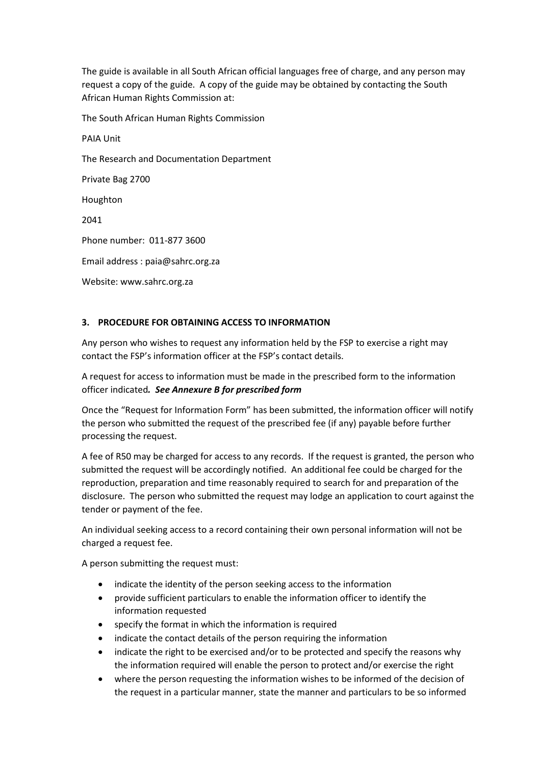The guide is available in all South African official languages free of charge, and any person may request a copy of the guide. A copy of the guide may be obtained by contacting the South African Human Rights Commission at:

The South African Human Rights Commission

PAIA Unit

The Research and Documentation Department

Private Bag 2700

Houghton

2041

Phone number: 011-877 3600

Email address : [paia@sahrc.org.za](mailto:paia@sahrc.org.za)

Website[: www.sahrc.org.za](http://www.sahrc.org.za/)

# **3. PROCEDURE FOR OBTAINING ACCESS TO INFORMATION**

Any person who wishes to request any information held by the FSP to exercise a right may contact the FSP's information officer at the FSP's contact details.

A request for access to information must be made in the prescribed form to the information officer indicated*. See Annexure B for prescribed form*

Once the "Request for Information Form" has been submitted, the information officer will notify the person who submitted the request of the prescribed fee (if any) payable before further processing the request.

A fee of R50 may be charged for access to any records. If the request is granted, the person who submitted the request will be accordingly notified. An additional fee could be charged for the reproduction, preparation and time reasonably required to search for and preparation of the disclosure. The person who submitted the request may lodge an application to court against the tender or payment of the fee.

An individual seeking access to a record containing their own personal information will not be charged a request fee.

A person submitting the request must:

- indicate the identity of the person seeking access to the information
- provide sufficient particulars to enable the information officer to identify the information requested
- specify the format in which the information is required
- indicate the contact details of the person requiring the information
- indicate the right to be exercised and/or to be protected and specify the reasons why the information required will enable the person to protect and/or exercise the right
- where the person requesting the information wishes to be informed of the decision of the request in a particular manner, state the manner and particulars to be so informed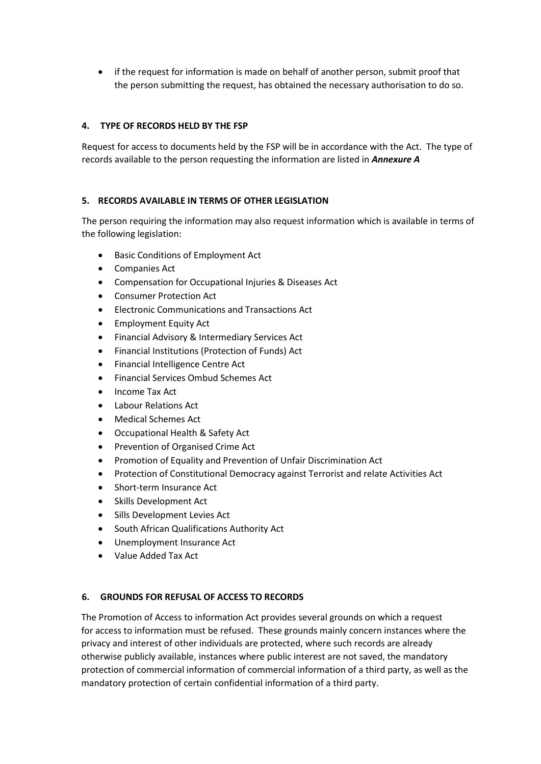if the request for information is made on behalf of another person, submit proof that the person submitting the request, has obtained the necessary authorisation to do so.

# **4. TYPE OF RECORDS HELD BY THE FSP**

Request for access to documents held by the FSP will be in accordance with the Act. The type of records available to the person requesting the information are listed in *Annexure A*

#### **5. RECORDS AVAILABLE IN TERMS OF OTHER LEGISLATION**

The person requiring the information may also request information which is available in terms of the following legislation:

- Basic Conditions of Employment Act
- Companies Act
- Compensation for Occupational Injuries & Diseases Act
- Consumer Protection Act
- Electronic Communications and Transactions Act
- Employment Equity Act
- Financial Advisory & Intermediary Services Act
- Financial Institutions (Protection of Funds) Act
- Financial Intelligence Centre Act
- Financial Services Ombud Schemes Act
- Income Tax Act
- Labour Relations Act
- Medical Schemes Act
- Occupational Health & Safety Act
- Prevention of Organised Crime Act
- Promotion of Equality and Prevention of Unfair Discrimination Act
- Protection of Constitutional Democracy against Terrorist and relate Activities Act
- Short-term Insurance Act
- Skills Development Act
- Sills Development Levies Act
- South African Qualifications Authority Act
- Unemployment Insurance Act
- Value Added Tax Act

## **6. GROUNDS FOR REFUSAL OF ACCESS TO RECORDS**

 The Promotion of Access to information Act provides several grounds on which a request for access to information must be refused. These grounds mainly concern instances where the privacy and interest of other individuals are protected, where such records are already otherwise publicly available, instances where public interest are not saved, the mandatory protection of commercial information of commercial information of a third party, as well as the mandatory protection of certain confidential information of a third party.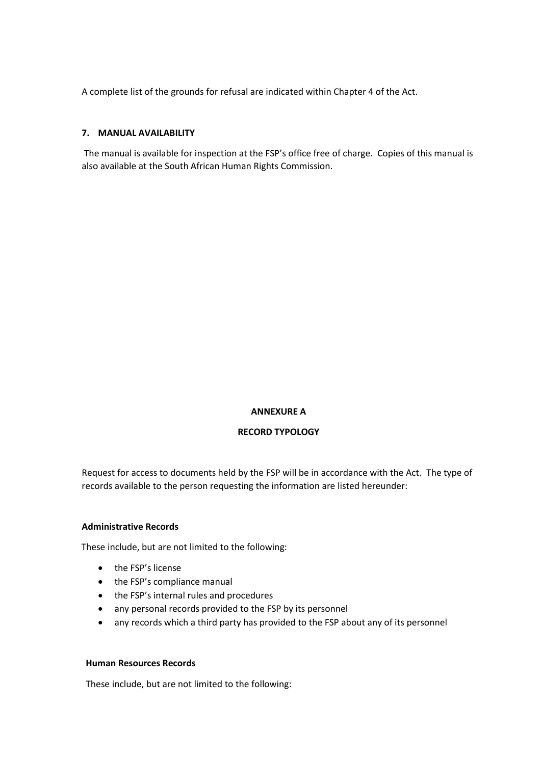A complete list of the grounds for refusal are indicated within Chapter 4 of the Act.

# **7. MANUAL AVAILABILITY**

The manual is available for inspection at the FSP's office free of charge. Copies of this manual is also available at the South African Human Rights Commission.

## **ANNEXURE A**

# **RECORD TYPOLOGY**

Request for access to documents held by the FSP will be in accordance with the Act. The type of records available to the person requesting the information are listed hereunder:

## **Administrative Records**

These include, but are not limited to the following:

- the FSP's license
- the FSP's compliance manual
- the FSP's internal rules and procedures
- any personal records provided to the FSP by its personnel
- any records which a third party has provided to the FSP about any of its personnel

#### **Human Resources Records**

These include, but are not limited to the following: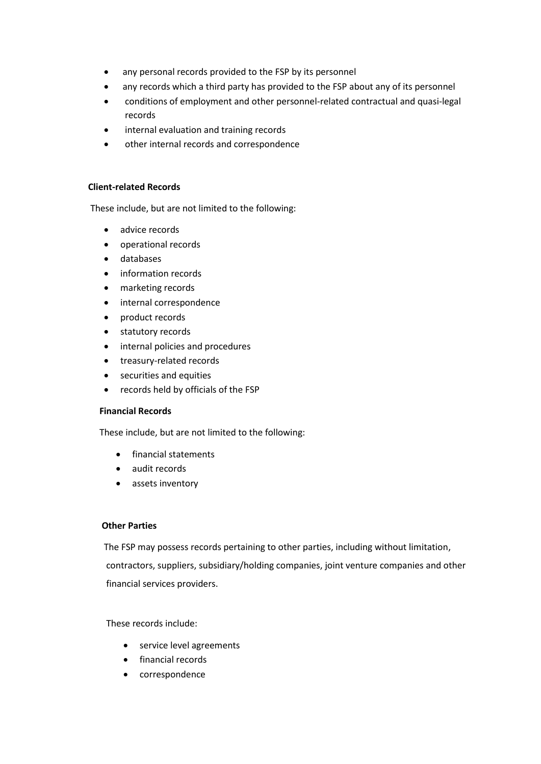- any personal records provided to the FSP by its personnel
- any records which a third party has provided to the FSP about any of its personnel
- conditions of employment and other personnel-related contractual and quasi-legal records
- internal evaluation and training records
- other internal records and correspondence

#### **Client-related Records**

These include, but are not limited to the following:

- advice records
- operational records
- databases
- information records
- marketing records
- internal correspondence
- product records
- statutory records
- internal policies and procedures
- treasury-related records
- securities and equities
- records held by officials of the FSP

## **Financial Records**

These include, but are not limited to the following:

- financial statements
- audit records
- assets inventory

#### **Other Parties**

The FSP may possess records pertaining to other parties, including without limitation, contractors, suppliers, subsidiary/holding companies, joint venture companies and other financial services providers.

## These records include:

- service level agreements
- financial records
- correspondence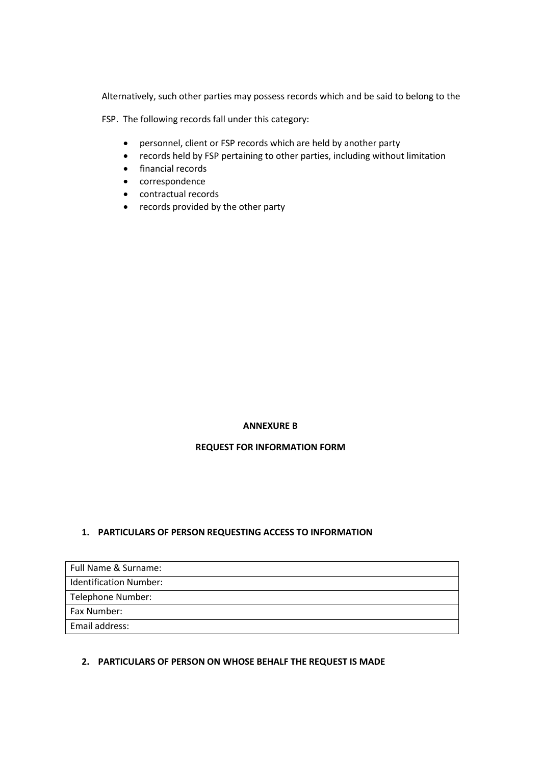Alternatively, such other parties may possess records which and be said to belong to the

FSP. The following records fall under this category:

- personnel, client or FSP records which are held by another party
- records held by FSP pertaining to other parties, including without limitation
- financial records
- correspondence
- contractual records
- records provided by the other party

# **ANNEXURE B**

# **REQUEST FOR INFORMATION FORM**

# **1. PARTICULARS OF PERSON REQUESTING ACCESS TO INFORMATION**

| Full Name & Surname:          |  |
|-------------------------------|--|
| <b>Identification Number:</b> |  |
| Telephone Number:             |  |
| Fax Number:                   |  |
| Email address:                |  |

# **2. PARTICULARS OF PERSON ON WHOSE BEHALF THE REQUEST IS MADE**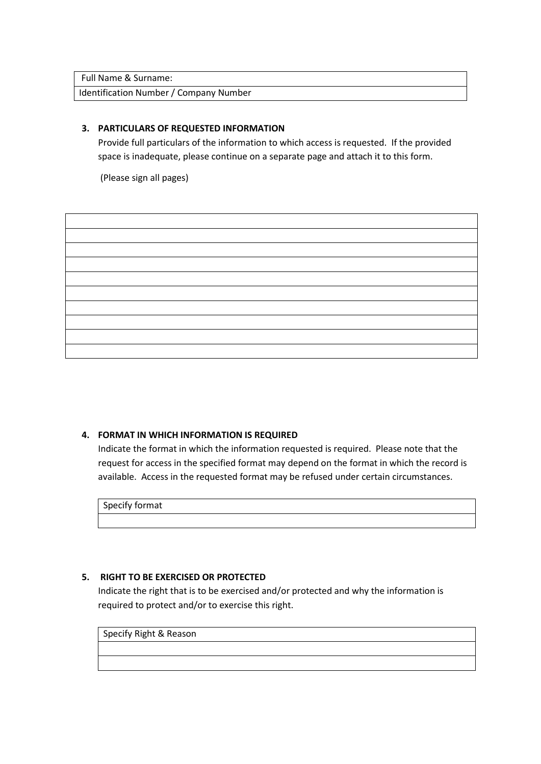Full Name & Surname:

Identification Number / Company Number

# **3. PARTICULARS OF REQUESTED INFORMATION**

Provide full particulars of the information to which access is requested. If the provided space is inadequate, please continue on a separate page and attach it to this form.

(Please sign all pages)

# **4. FORMAT IN WHICH INFORMATION IS REQUIRED**

Indicate the format in which the information requested is required. Please note that the request for access in the specified format may depend on the format in which the record is available. Access in the requested format may be refused under certain circumstances.

Specify format

# **5. RIGHT TO BE EXERCISED OR PROTECTED**

Indicate the right that is to be exercised and/or protected and why the information is required to protect and/or to exercise this right.

Specify Right & Reason